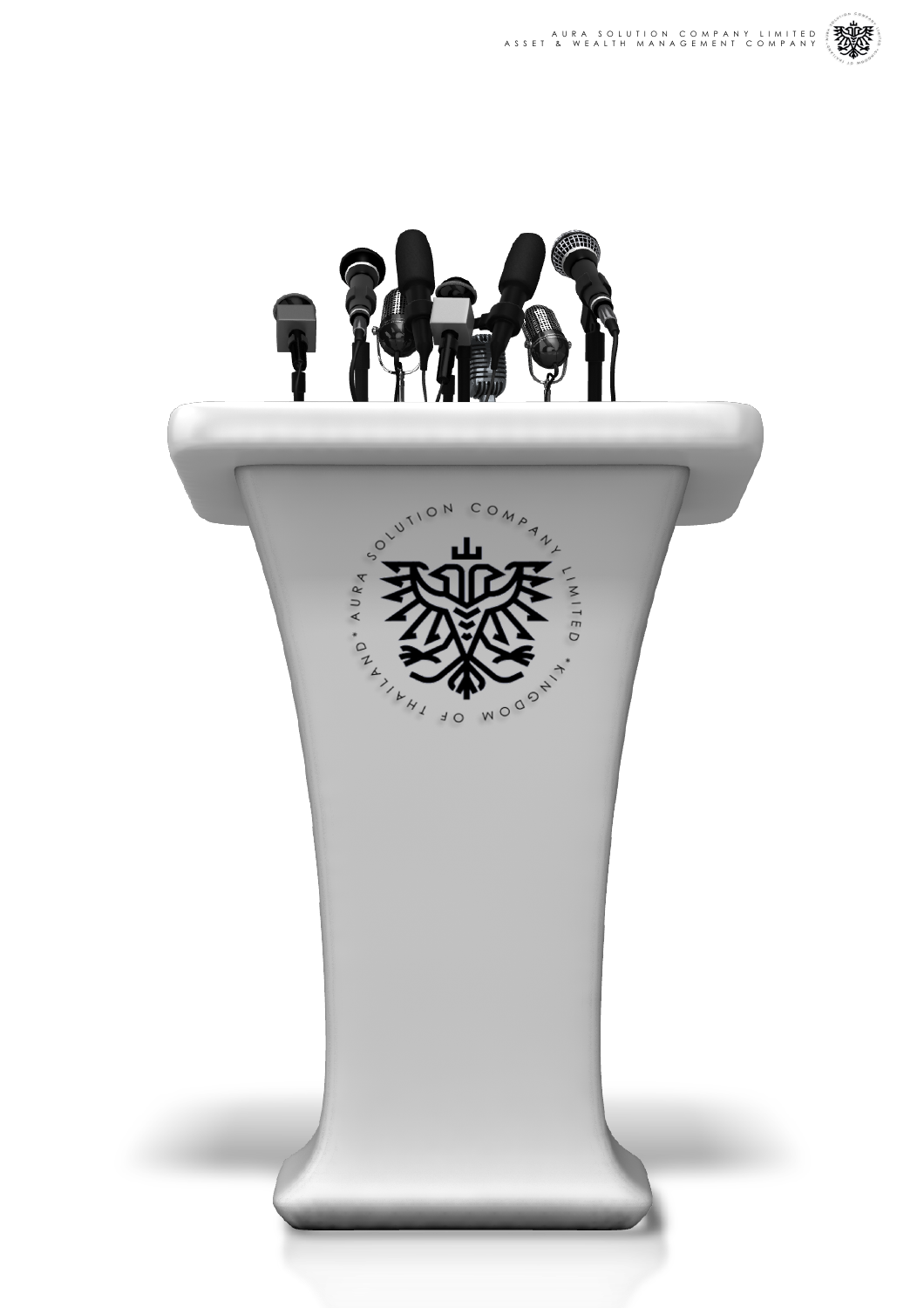

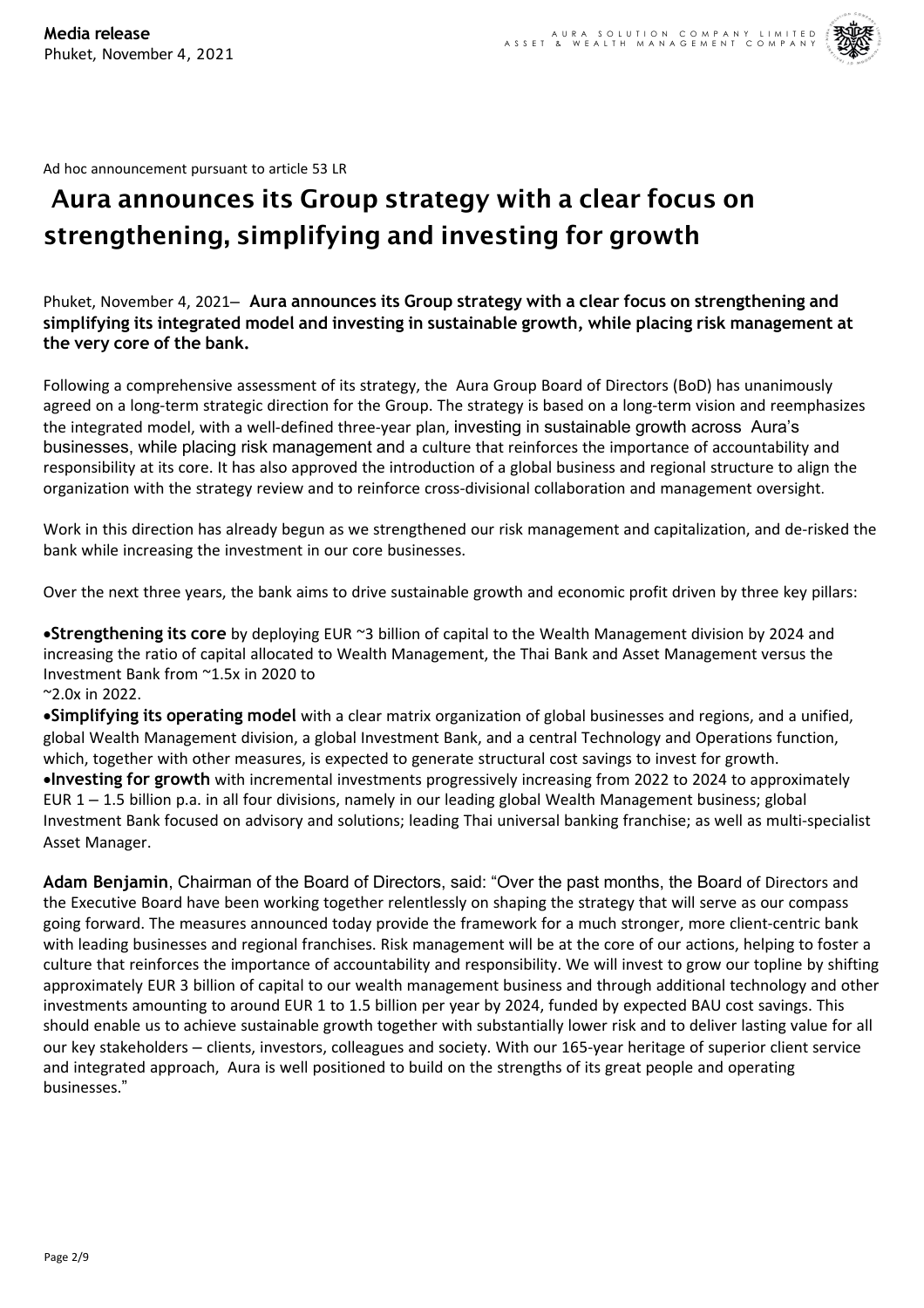

Ad hoc announcement pursuant to article 53 LR

# Aura announces its Group strategy with a clear focus on strengthening, simplifying and investing for growth

Phuket, November 4, 2021– **Aura announces its Group strategy with a clear focus on strengthening and simplifying its integrated model and investing in sustainable growth, while placing risk management at the very core of the bank.**

Following a comprehensive assessment of its strategy, the Aura Group Board of Directors (BoD) has unanimously agreed on a long-term strategic direction for the Group. The strategy is based on a long-term vision and reemphasizes the integrated model, with a well-defined three-year plan, investing in sustainable growth across Aura's businesses, while placing risk management and a culture that reinforces the importance of accountability and responsibility at its core. It has also approved the introduction of a global business and regional structure to align the organization with the strategy review and to reinforce cross-divisional collaboration and management oversight.

Work in this direction has already begun as we strengthened our risk management and capitalization, and de-risked the bank while increasing the investment in our core businesses.

Over the next three years, the bank aims to drive sustainable growth and economic profit driven by three key pillars:

•**Strengthening its core** by deploying EUR ~3 billion of capital to the Wealth Management division by 2024 and increasing the ratio of capital allocated to Wealth Management, the Thai Bank and Asset Management versus the Investment Bank from ~1.5x in 2020 to

~2.0x in 2022.

•**Simplifying its operating model** with a clear matrix organization of global businesses and regions, and a unified, global Wealth Management division, a global Investment Bank, and a central Technology and Operations function, which, together with other measures, is expected to generate structural cost savings to invest for growth. •**Investing for growth** with incremental investments progressively increasing from 2022 to 2024 to approximately EUR 1 – 1.5 billion p.a. in all four divisions, namely in our leading global Wealth Management business; global Investment Bank focused on advisory and solutions; leading Thai universal banking franchise; as well as multi-specialist Asset Manager.

**Adam Benjamin**, Chairman of the Board of Directors, said: "Over the past months, the Board of Directors and the Executive Board have been working together relentlessly on shaping the strategy that will serve as our compass going forward. The measures announced today provide the framework for a much stronger, more client-centric bank with leading businesses and regional franchises. Risk management will be at the core of our actions, helping to foster a culture that reinforces the importance of accountability and responsibility. We will invest to grow our topline by shifting approximately EUR 3 billion of capital to our wealth management business and through additional technology and other investments amounting to around EUR 1 to 1.5 billion per year by 2024, funded by expected BAU cost savings. This should enable us to achieve sustainable growth together with substantially lower risk and to deliver lasting value for all our key stakeholders – clients, investors, colleagues and society. With our 165-year heritage of superior client service and integrated approach, Aura is well positioned to build on the strengths of its great people and operating businesses."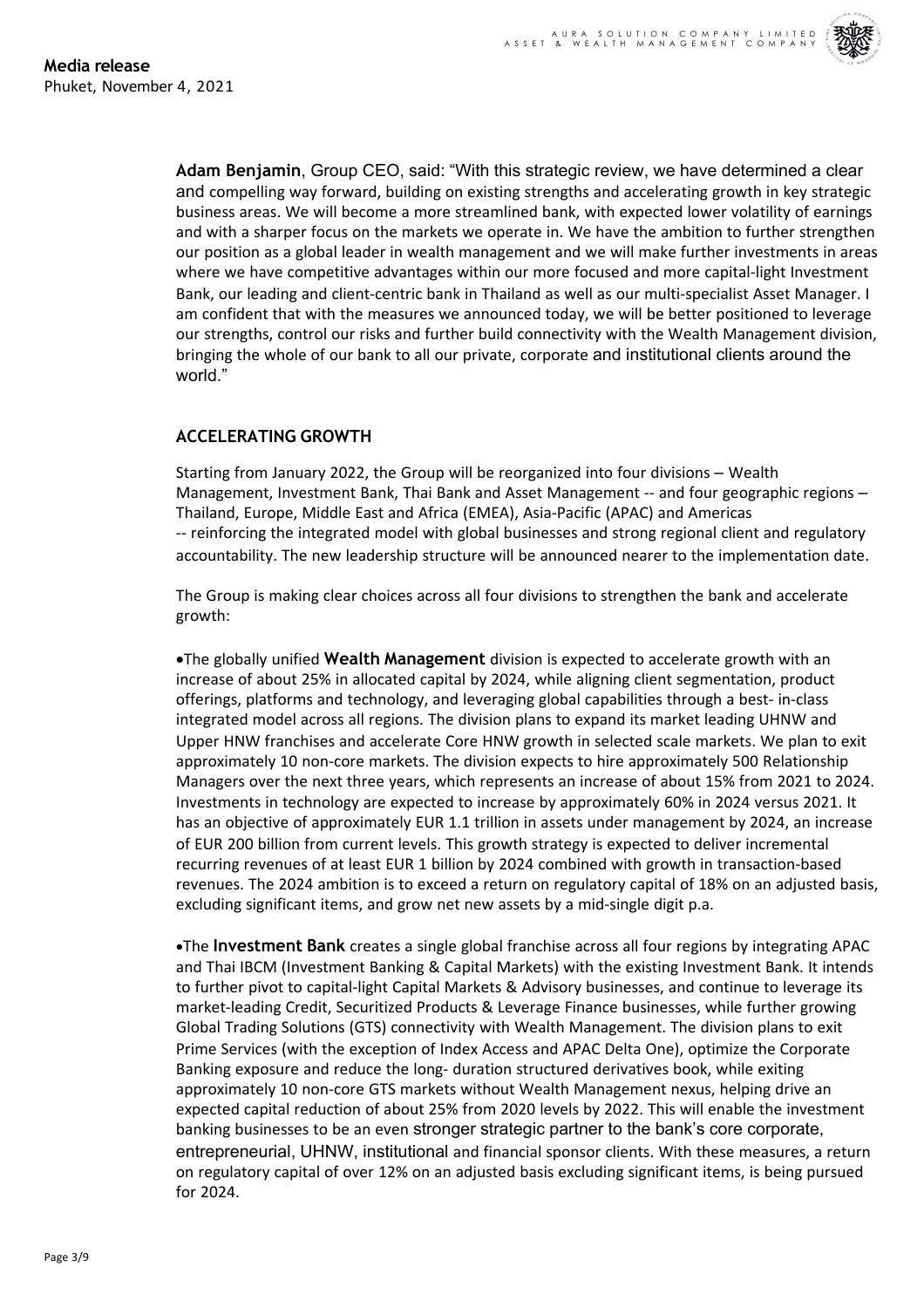

**Adam Benjamin**, Group CEO, said: "With this strategic review, we have determined a clear and compelling way forward, building on existing strengths and accelerating growth in key strategic business areas. We will become a more streamlined bank, with expected lower volatility of earnings and with a sharper focus on the markets we operate in. We have the ambition to further strengthen our position as a global leader in wealth management and we will make further investments in areas where we have competitive advantages within our more focused and more capital-light Investment Bank, our leading and client-centric bank in Thailand as well as our multi-specialist Asset Manager. I am confident that with the measures we announced today, we will be better positioned to leverage our strengths, control our risks and further build connectivity with the Wealth Management division, bringing the whole of our bank to all our private, corporate and institutional clients around the world."

# **ACCELERATING GROWTH**

Starting from January 2022, the Group will be reorganized into four divisions – Wealth Management, Investment Bank, Thai Bank and Asset Management -- and four geographic regions – Thailand, Europe, Middle East and Africa (EMEA), Asia-Pacific (APAC) and Americas -- reinforcing the integrated model with global businesses and strong regional client and regulatory accountability. The new leadership structure will be announced nearer to the implementation date.

The Group is making clear choices across all four divisions to strengthen the bank and accelerate growth:

•The globally unified **Wealth Management** division is expected to accelerate growth with an increase of about 25% in allocated capital by 2024, while aligning client segmentation, product offerings, platforms and technology, and leveraging global capabilities through a best- in-class integrated model across all regions. The division plans to expand its market leading UHNW and Upper HNW franchises and accelerate Core HNW growth in selected scale markets. We plan to exit approximately 10 non-core markets. The division expects to hire approximately 500 Relationship Managers over the next three years, which represents an increase of about 15% from 2021 to 2024. Investments in technology are expected to increase by approximately 60% in 2024 versus 2021. It has an objective of approximately EUR 1.1 trillion in assets under management by 2024, an increase of EUR 200 billion from current levels. This growth strategy is expected to deliver incremental recurring revenues of at least EUR 1 billion by 2024 combined with growth in transaction-based revenues. The 2024 ambition is to exceed a return on regulatory capital of 18% on an adjusted basis, excluding significant items, and grow net new assets by a mid-single digit p.a.

•The **Investment Bank** creates a single global franchise across all four regions by integrating APAC and Thai IBCM (Investment Banking & Capital Markets) with the existing Investment Bank. It intends to further pivot to capital-light Capital Markets & Advisory businesses, and continue to leverage its market-leading Credit, Securitized Products & Leverage Finance businesses, while further growing Global Trading Solutions (GTS) connectivity with Wealth Management. The division plans to exit Prime Services (with the exception of Index Access and APAC Delta One), optimize the Corporate Banking exposure and reduce the long- duration structured derivatives book, while exiting approximately 10 non-core GTS markets without Wealth Management nexus, helping drive an expected capital reduction of about 25% from 2020 levels by 2022. This will enable the investment banking businesses to be an even stronger strategic partner to the bank's core corporate, entrepreneurial, UHNW, institutional and financial sponsor clients. With these measures, a return on regulatory capital of over 12% on an adjusted basis excluding significant items, is being pursued for 2024.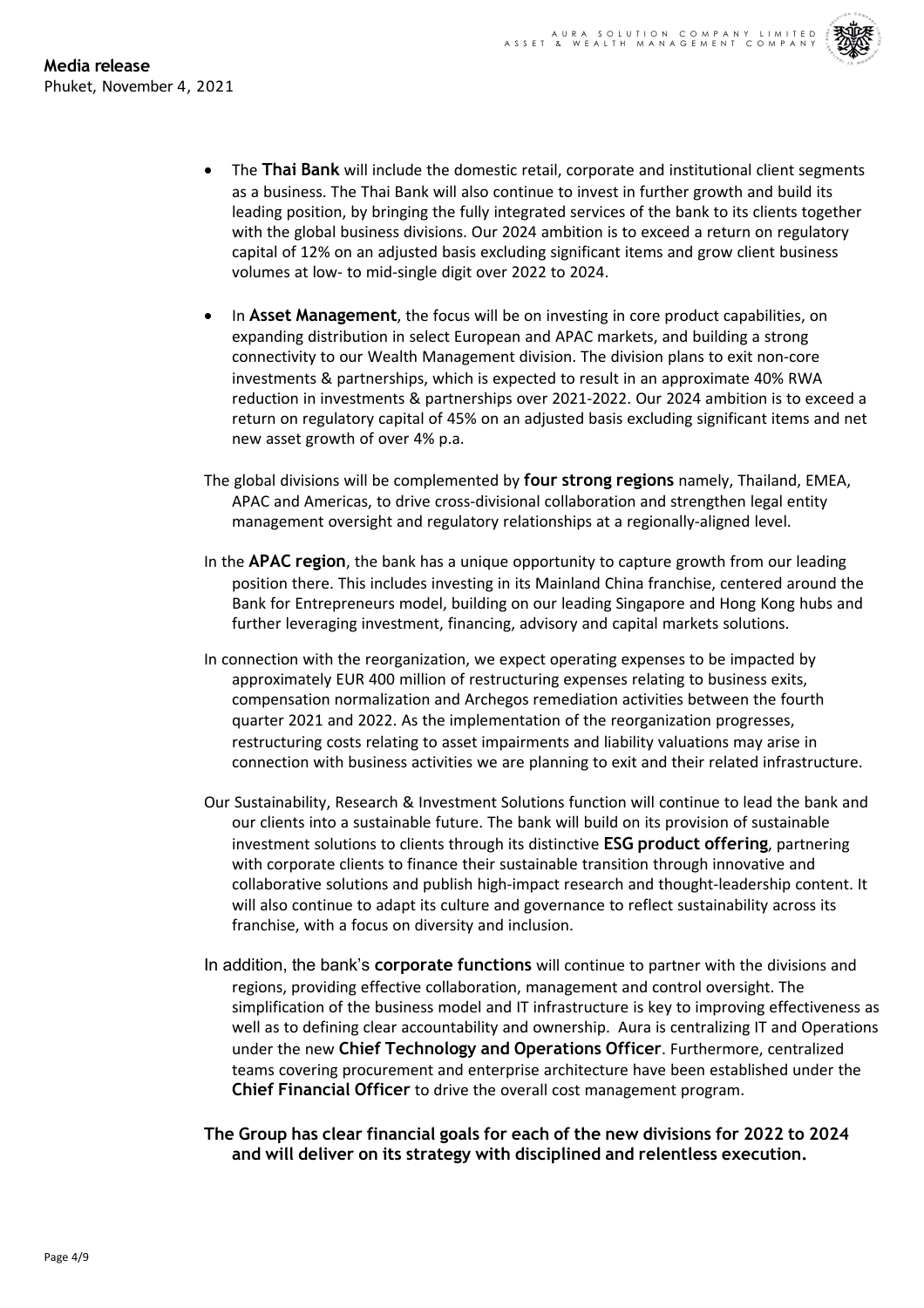- The **Thai Bank** will include the domestic retail, corporate and institutional client segments as a business. The Thai Bank will also continue to invest in further growth and build its leading position, by bringing the fully integrated services of the bank to its clients together with the global business divisions. Our 2024 ambition is to exceed a return on regulatory capital of 12% on an adjusted basis excluding significant items and grow client business volumes at low- to mid-single digit over 2022 to 2024.
- In **Asset Management**, the focus will be on investing in core product capabilities, on expanding distribution in select European and APAC markets, and building a strong connectivity to our Wealth Management division. The division plans to exit non-core investments & partnerships, which is expected to result in an approximate 40% RWA reduction in investments & partnerships over 2021-2022. Our 2024 ambition is to exceed a return on regulatory capital of 45% on an adjusted basis excluding significant items and net new asset growth of over 4% p.a.
- The global divisions will be complemented by **four strong regions** namely, Thailand, EMEA, APAC and Americas, to drive cross-divisional collaboration and strengthen legal entity management oversight and regulatory relationships at a regionally-aligned level.
- In the **APAC region**, the bank has a unique opportunity to capture growth from our leading position there. This includes investing in its Mainland China franchise, centered around the Bank for Entrepreneurs model, building on our leading Singapore and Hong Kong hubs and further leveraging investment, financing, advisory and capital markets solutions.
- In connection with the reorganization, we expect operating expenses to be impacted by approximately EUR 400 million of restructuring expenses relating to business exits, compensation normalization and Archegos remediation activities between the fourth quarter 2021 and 2022. As the implementation of the reorganization progresses, restructuring costs relating to asset impairments and liability valuations may arise in connection with business activities we are planning to exit and their related infrastructure.
- Our Sustainability, Research & Investment Solutions function will continue to lead the bank and our clients into a sustainable future. The bank will build on its provision of sustainable investment solutions to clients through its distinctive **ESG product offering**, partnering with corporate clients to finance their sustainable transition through innovative and collaborative solutions and publish high-impact research and thought-leadership content. It will also continue to adapt its culture and governance to reflect sustainability across its franchise, with a focus on diversity and inclusion.
- In addition, the bank's **corporate functions** will continue to partner with the divisions and regions, providing effective collaboration, management and control oversight. The simplification of the business model and IT infrastructure is key to improving effectiveness as well as to defining clear accountability and ownership. Aura is centralizing IT and Operations under the new **Chief Technology and Operations Officer**. Furthermore, centralized teams covering procurement and enterprise architecture have been established under the **Chief Financial Officer** to drive the overall cost management program.
- **The Group has clear financial goals for each of the new divisions for 2022 to 2024 and will deliver on its strategy with disciplined and relentless execution.**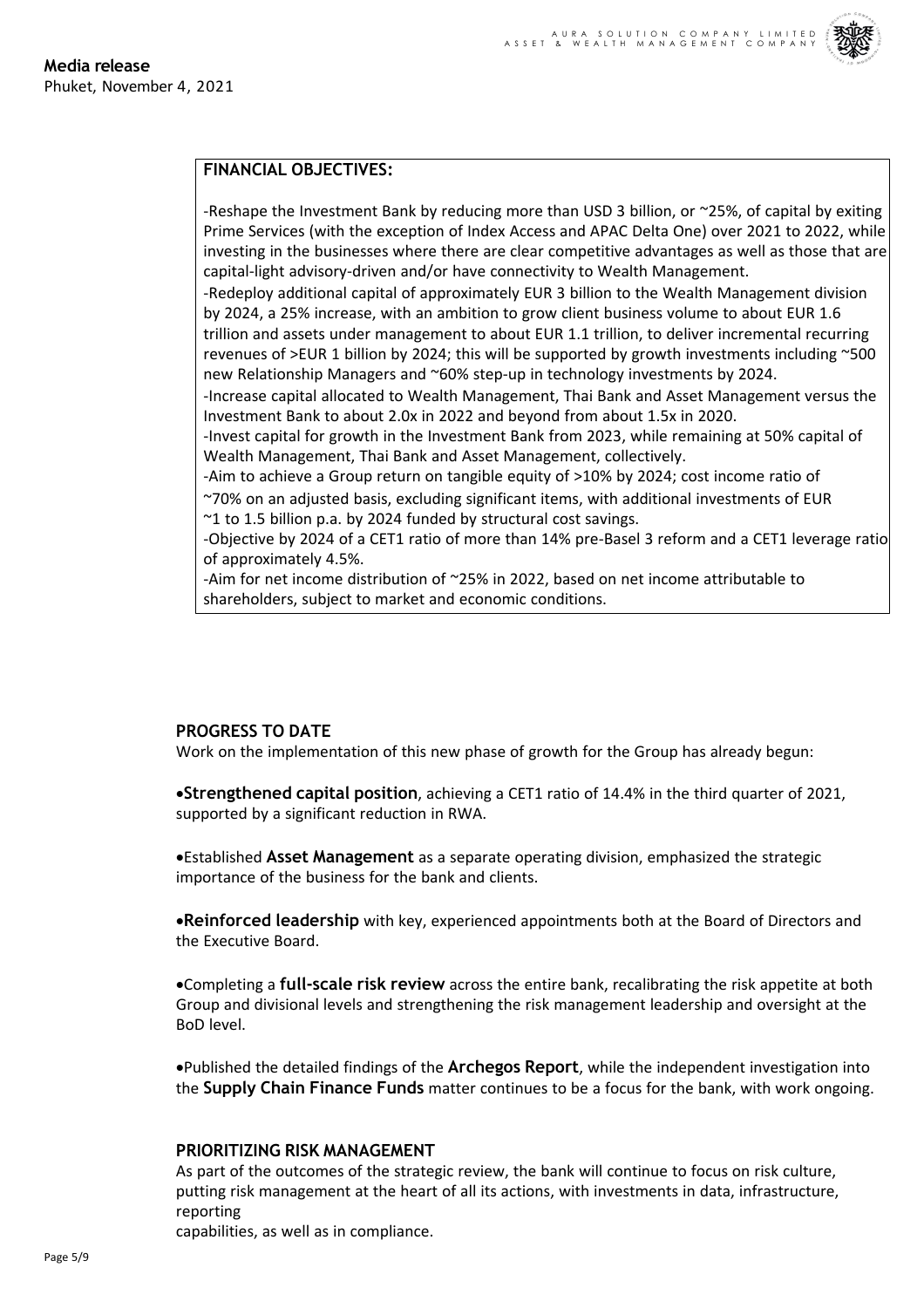

# **FINANCIAL OBJECTIVES:**

-Reshape the Investment Bank by reducing more than USD 3 billion, or  $\sim$ 25%, of capital by exiting Prime Services (with the exception of Index Access and APAC Delta One) over 2021 to 2022, while investing in the businesses where there are clear competitive advantages as well as those that are capital-light advisory-driven and/or have connectivity to Wealth Management.

-Redeploy additional capital of approximately EUR 3 billion to the Wealth Management division by 2024, a 25% increase, with an ambition to grow client business volume to about EUR 1.6 trillion and assets under management to about EUR 1.1 trillion, to deliver incremental recurring revenues of >EUR 1 billion by 2024; this will be supported by growth investments including ~500 new Relationship Managers and ~60% step-up in technology investments by 2024.

-Increase capital allocated to Wealth Management, Thai Bank and Asset Management versus the Investment Bank to about 2.0x in 2022 and beyond from about 1.5x in 2020.

-Invest capital for growth in the Investment Bank from 2023, while remaining at 50% capital of Wealth Management, Thai Bank and Asset Management, collectively.

-Aim to achieve a Group return on tangible equity of >10% by 2024; cost income ratio of ~70% on an adjusted basis, excluding significant items, with additional investments of EUR ~1 to 1.5 billion p.a. by 2024 funded by structural cost savings.

-Objective by 2024 of a CET1 ratio of more than 14% pre-Basel 3 reform and a CET1 leverage ratio of approximately 4.5%.

-Aim for net income distribution of ~25% in 2022, based on net income attributable to shareholders, subject to market and economic conditions.

# **PROGRESS TO DATE**

Work on the implementation of this new phase of growth for the Group has already begun:

•**Strengthened capital position**, achieving a CET1 ratio of 14.4% in the third quarter of 2021, supported by a significant reduction in RWA.

•Established **Asset Management** as a separate operating division, emphasized the strategic importance of the business for the bank and clients.

•**Reinforced leadership** with key, experienced appointments both at the Board of Directors and the Executive Board.

•Completing a **full-scale risk review** across the entire bank, recalibrating the risk appetite at both Group and divisional levels and strengthening the risk management leadership and oversight at the BoD level.

•Published the detailed findings of the **Archegos Report**, while the independent investigation into the **Supply Chain Finance Funds** matter continues to be a focus for the bank, with work ongoing.

# **PRIORITIZING RISK MANAGEMENT**

As part of the outcomes of the strategic review, the bank will continue to focus on risk culture, putting risk management at the heart of all its actions, with investments in data, infrastructure, reporting

capabilities, as well as in compliance.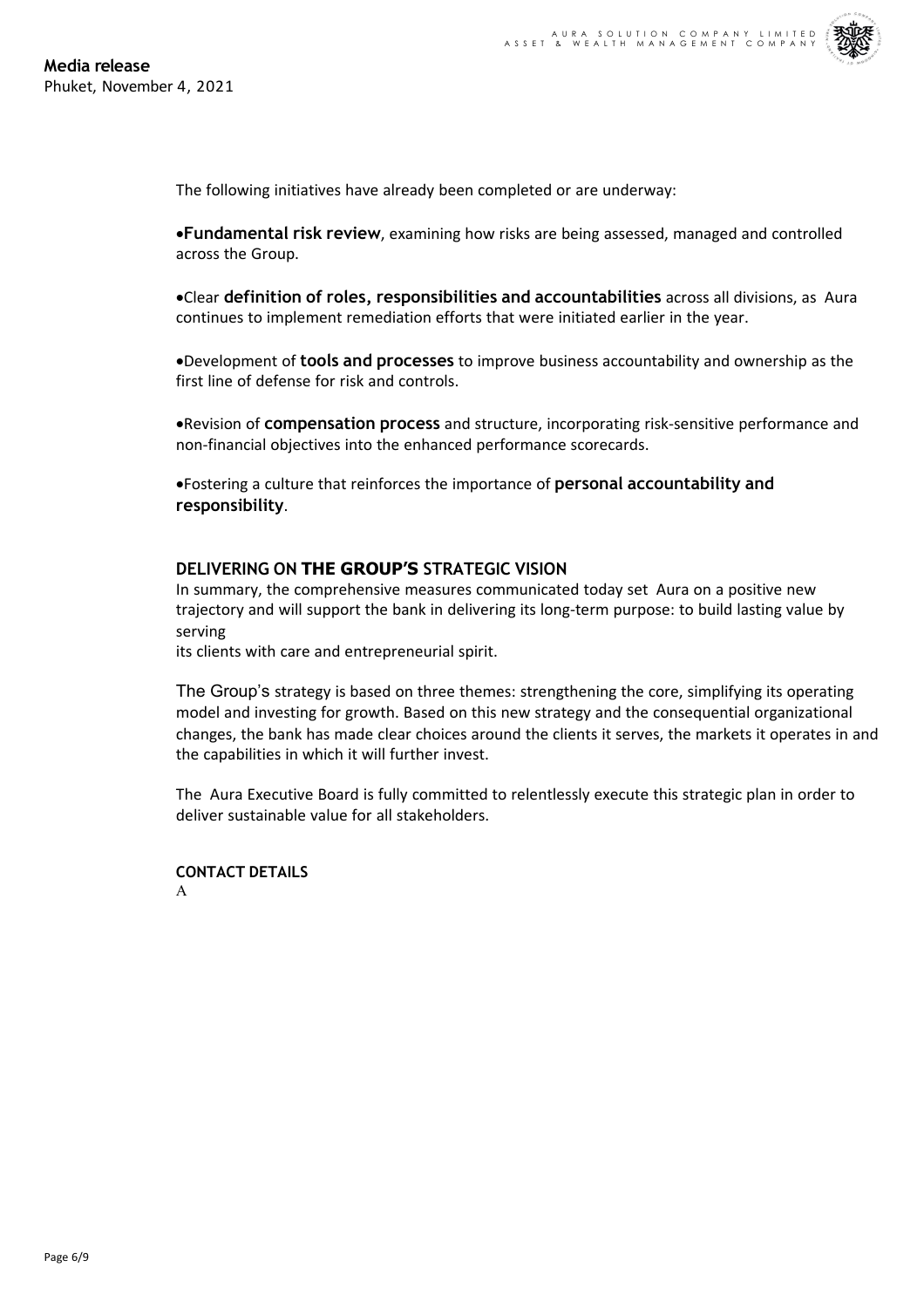The following initiatives have already been completed or are underway:

•**Fundamental risk review**, examining how risks are being assessed, managed and controlled across the Group.

•Clear **definition of roles, responsibilities and accountabilities** across all divisions, as Aura continues to implement remediation efforts that were initiated earlier in the year.

•Development of **tools and processes** to improve business accountability and ownership as the first line of defense for risk and controls.

•Revision of **compensation process** and structure, incorporating risk-sensitive performance and non-financial objectives into the enhanced performance scorecards.

•Fostering a culture that reinforces the importance of **personal accountability and responsibility**.

# **DELIVERING ON THE GROUP'S STRATEGIC VISION**

In summary, the comprehensive measures communicated today set Aura on a positive new trajectory and will support the bank in delivering its long-term purpose: to build lasting value by serving

its clients with care and entrepreneurial spirit.

The Group's strategy is based on three themes: strengthening the core, simplifying its operating model and investing for growth. Based on this new strategy and the consequential organizational changes, the bank has made clear choices around the clients it serves, the markets it operates in and the capabilities in which it will further invest.

The Aura Executive Board is fully committed to relentlessly execute this strategic plan in order to deliver sustainable value for all stakeholders.

**CONTACT DETAILS** A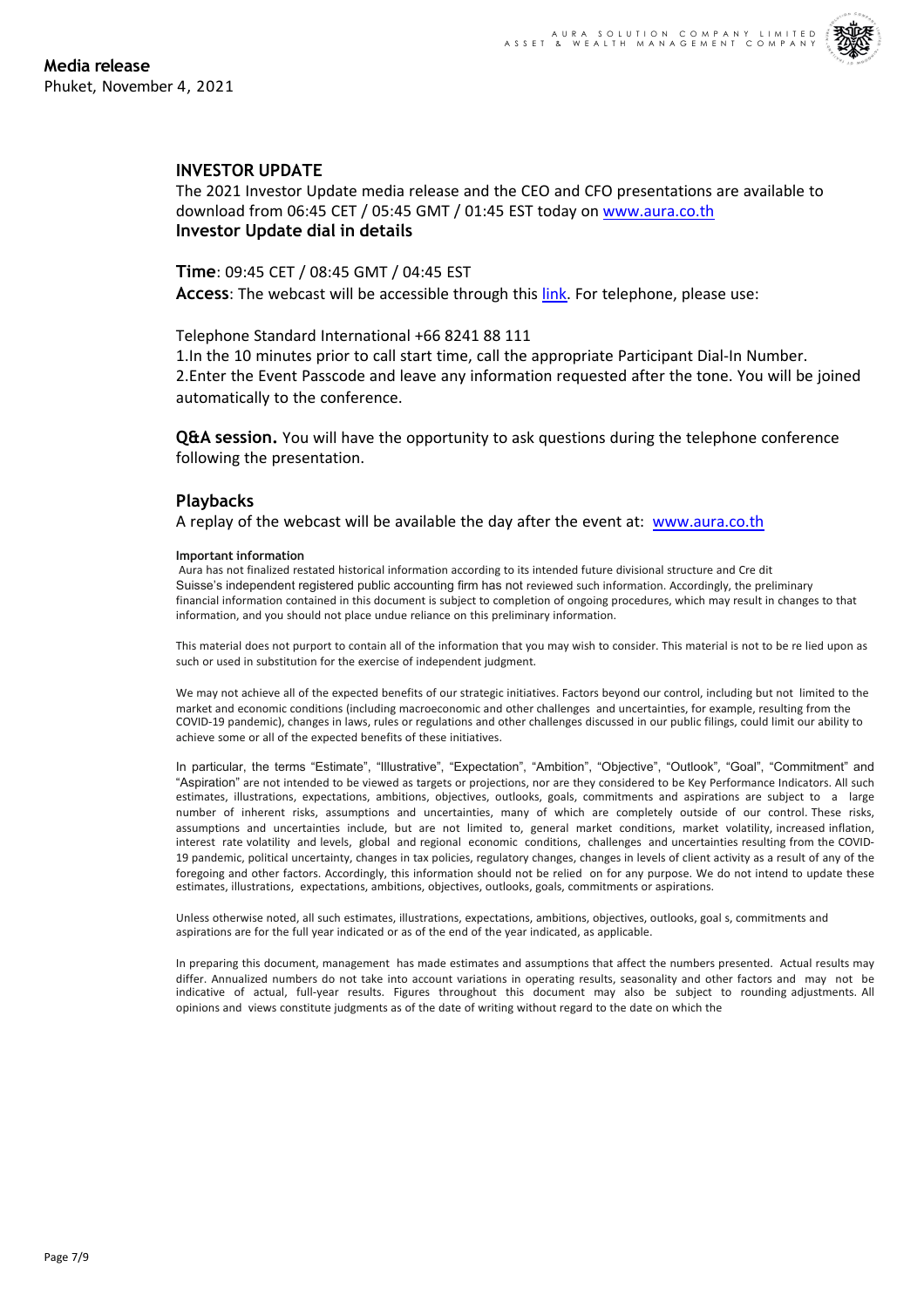## **INVESTOR UPDATE**

The 2021 Investor Update media release and the CEO and CFO presentations are available to download from 06:45 CET / 05:45 GMT / 01:45 EST today on www.aura.co.th **Investor Update dial in details**

**Time**: 09:45 CET / 08:45 GMT / 04:45 EST **Access**: The webcast will be accessible through this link. For [telephone,](http://www.aura.co.th/) please use:

Telephone Standard International +66 8241 88 111

1.In the 10 minutes prior to call start time, call the appropriate Participant Dial-In Number. 2.Enter the Event Passcode and leave any information [re](http://www.aura.co.th/)quested after the tone. You will be joined automatically to the conference.

**Q&A session.** You will have the opportunity to ask questions during the telephone conference following the presentation.

## **Playbacks**

A replay of the webcast will be available the day after the event at: www.aura.co.th

## **Important information**

Aura has not finalized restated historical information according to its intended future divisional structure and Cre dit Suisse's independent registered public accounting firm has not reviewed such information. Accordingly, the preliminary financial information contained in this document is subject to completion of ongoing procedures, [which](http://www.aura.co.th/) may result in changes to that information, and you should not place undue reliance on this preliminary information.

This material does not purport to contain all of the information that you may wish to consider. This material is not to be re lied upon as such or used in substitution for the exercise of independent judgment.

We may not achieve all of the expected benefits of our strategic initiatives. Factors beyond our control, including but not limited to the market and economic conditions (including macroeconomic and other challenges and uncertainties, for example, resulting from the COVID-19 pandemic), changes in laws, rules or regulations and other challenges discussed in our public filings, could limit our ability to achieve some or all of the expected benefits of these initiatives.

In particular, the terms "Estimate", "Illustrative", "Expectation", "Ambition", "Objective", "Outlook", "Goal", "Commitment" and "Aspiration" are not intended to be viewed as targets or projections, nor are they considered to be Key Performance Indicators. All such estimates, illustrations, expectations, ambitions, objectives, outlooks, goals, commitments and aspirations are subject to a large number of inherent risks, assumptions and uncertainties, many of which are completely outside of our control. These risks, assumptions and uncertainties include, but are not limited to, general market conditions, market volatility, increased inflation, interest rate volatility and levels, global and regional economic conditions, challenges and uncertainties resulting from the COVID-19 pandemic, political uncertainty, changes in tax policies, regulatory changes, changes in levels of client activity as a result of any of the foregoing and other factors. Accordingly, this information should not be relied on for any purpose. We do not intend to update these estimates, illustrations, expectations, ambitions, objectives, outlooks, goals, commitments or aspirations.

Unless otherwise noted, all such estimates, illustrations, expectations, ambitions, objectives, outlooks, goal s, commitments and aspirations are for the full year indicated or as of the end of the year indicated, as applicable.

In preparing this document, management has made estimates and assumptions that affect the numbers presented. Actual results may differ. Annualized numbers do not take into account variations in operating results, seasonality and other factors and may not be indicative of actual, full-year results. Figures throughout this document may also be subject to rounding adjustments. All opinions and views constitute judgments as of the date of writing without regard to the date on which the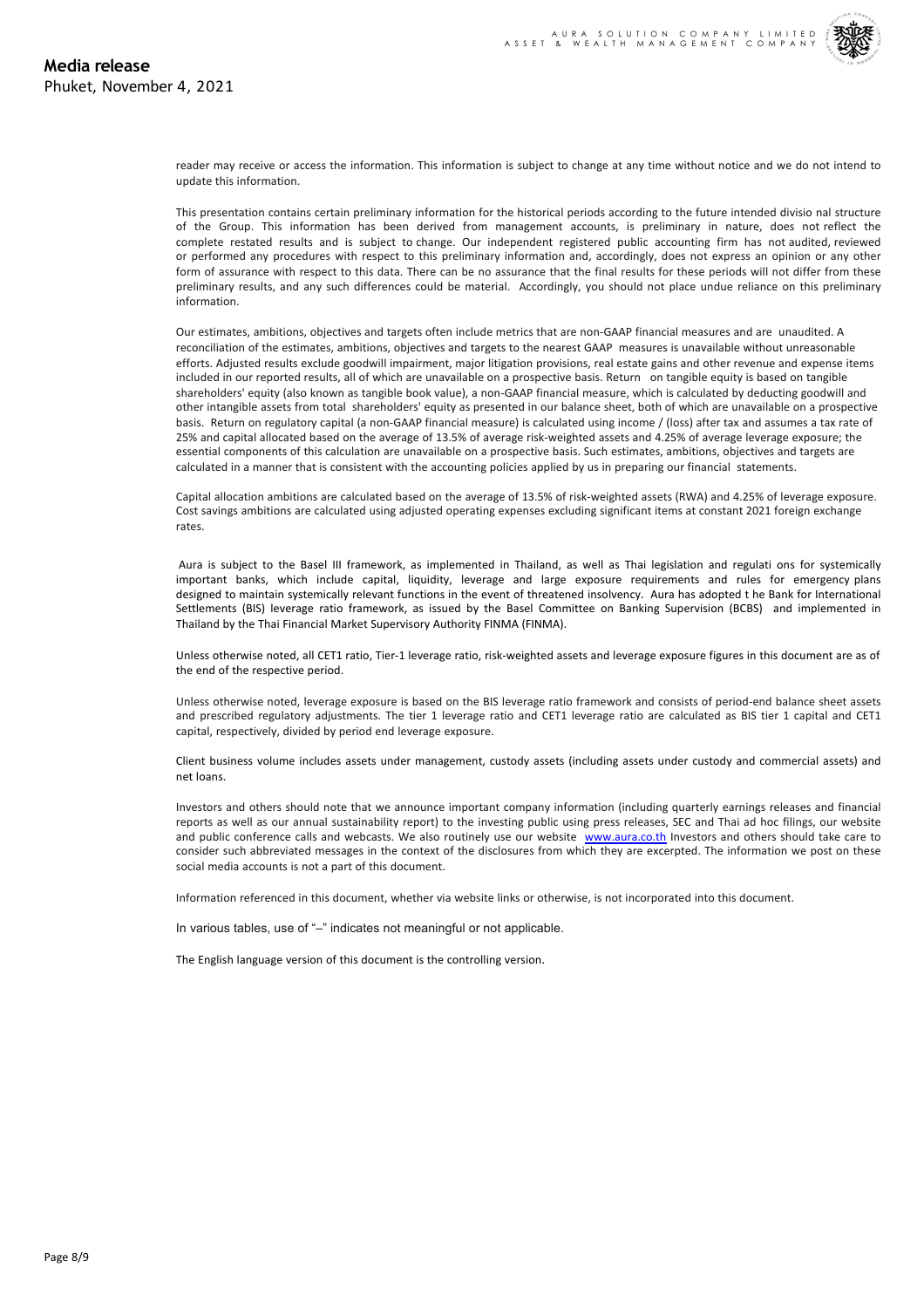reader may receive or access the information. This information is subject to change at any time without notice and we do not intend to update this information.

This presentation contains certain preliminary information for the historical periods according to the future intended divisio nal structure of the Group. This information has been derived from management accounts, is preliminary in nature, does not reflect the complete restated results and is subject to change. Our independent registered public accounting firm has not audited, reviewed or performed any procedures with respect to this preliminary information and, accordingly, does not express an opinion or any other form of assurance with respect to this data. There can be no assurance that the final results for these periods will not differ from these preliminary results, and any such differences could be material. Accordingly, you should not place undue reliance on this preliminary information.

Our estimates, ambitions, objectives and targets often include metrics that are non-GAAP financial measures and are unaudited. A reconciliation of the estimates, ambitions, objectives and targets to the nearest GAAP measures is unavailable without unreasonable efforts. Adjusted results exclude goodwill impairment, major litigation provisions, real estate gains and other revenue and expense items included in our reported results, all of which are unavailable on a prospective basis. Return on tangible equity is based on tangible shareholders' equity (also known as tangible book value), a non-GAAP financial measure, which is calculated by deducting goodwill and other intangible assets from total shareholders' equity as presented in our balance sheet, both of which are unavailable on a prospective basis. Return on regulatory capital (a non-GAAP financial measure) is calculated using income / (loss) after tax and assumes a tax rate of 25% and capital allocated based on the average of 13.5% of average risk-weighted assets and 4.25% of average leverage exposure; the essential components of this calculation are unavailable on a prospective basis. Such estimates, ambitions, objectives and targets are calculated in a manner that is consistent with the accounting policies applied by us in preparing our financial statements.

Capital allocation ambitions are calculated based on the average of 13.5% of risk-weighted assets (RWA) and 4.25% of leverage exposure. Cost savings ambitions are calculated using adjusted operating expenses excluding significant items at constant 2021 foreign exchange rates.

Aura is subject to the Basel III framework, as implemented in Thailand, as well as Thai legislation and regulati ons for systemically important banks, which include capital, liquidity, leverage and large exposure requirements and rules for emergency plans designed to maintain systemically relevant functions in the event of threatened insolvency. Aura has adopted t he Bank for International Settlements (BIS) leverage ratio framework, as issued by the Basel Committee on Banking Supervision (BCBS) and implemented in Thailand by the Thai Financial Market Supervisory Authority FINMA (FINMA).

Unless otherwise noted, all CET1 ratio, Tier-1 leverage ratio, risk-weighted assets and leverage exposure figures in this document are as of the end of the respective period.

Unless otherwise noted, leverage exposure is based on the BIS leverage ratio framework and consists of period-end balance sheet assets and prescribed regulatory adjustments. The tier 1 leverage ratio and CET1 leverage ratio are calculated as BIS tier 1 capital and CET1 capital, respectively, divided by period end leverage exposure.

Client business volume includes assets under management, custody assets (including assets under custody and commercial assets) and net loans.

Investors and others should note that we announce important company information (including quarterly earnings releases and financial reports as well as our annual sustainability report) to the investing public using press releases, SEC and Thai ad hoc filings, our website and public conference calls and webcasts. We also routinely use our website www.aura.co.th Investors and others should take care to consider such abbreviated messages in the context of the disclosures from which they are excerpted. The information we post on these social media accounts is not a part of this document.

Information referenced in this document, whether via website links or otherwise, is not incorporated into this document.

In various tables, use of "–" indicates not meaningful or not applicable.

The English language version of this document is the controlling version.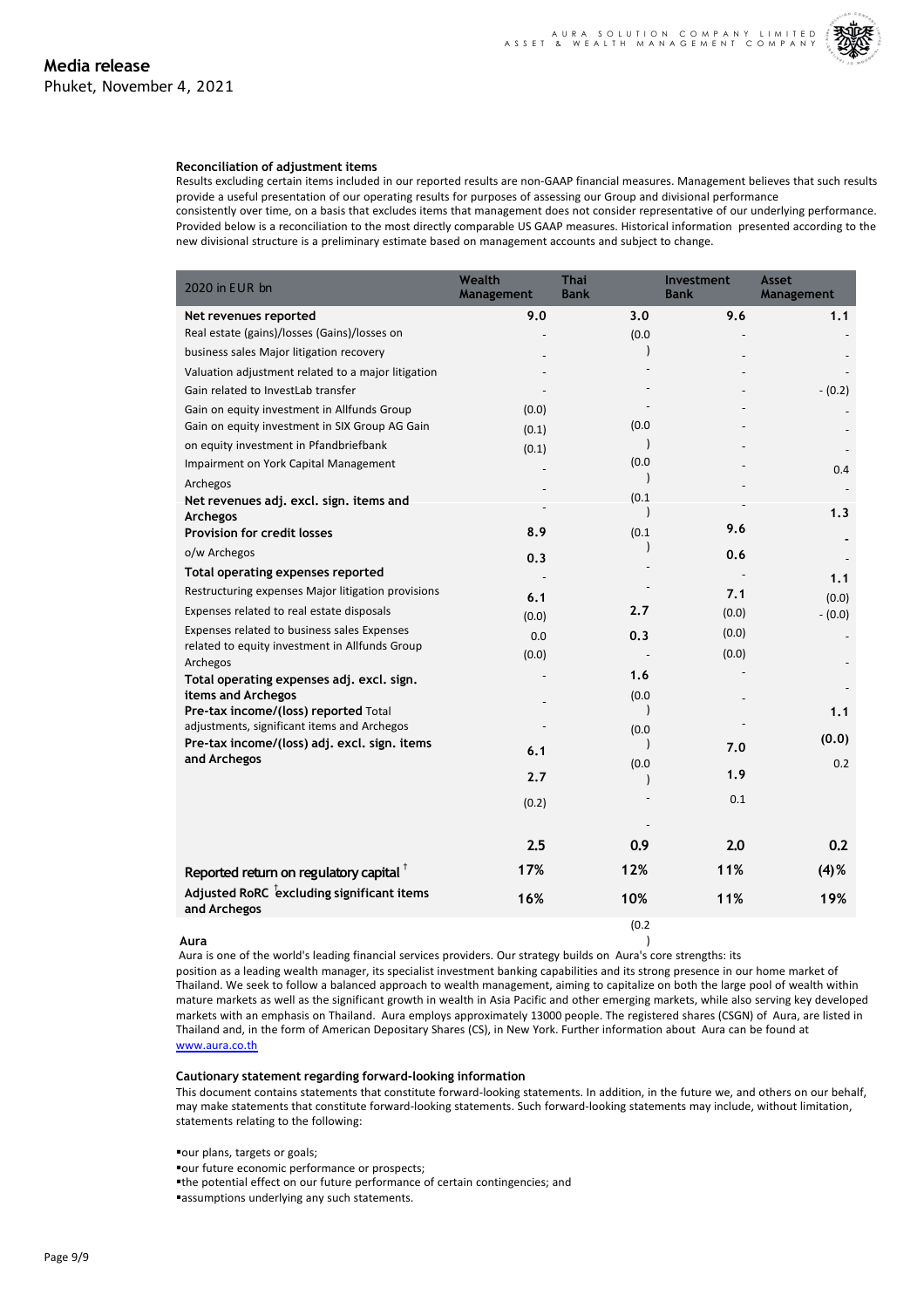#### **Reconciliation of adjustment items**

Results excluding certain items included in our reported results are non-GAAP financial measures. Management believes that such results provide a useful presentation of our operating results for purposes of assessing our Group and divisional performance

consistently over time, on a basis that excludes items that management does not consider representative of our underlying performance. Provided below is a reconciliation to the most directly comparable US GAAP measures. Historical information presented according to the new divisional structure is a preliminary estimate based on management accounts and subject to change.

| 2020 in EUR bn                                                                                | Wealth<br>Management | <b>Thai</b><br><b>Bank</b> | Investment<br><b>Bank</b> | Asset<br>Management |
|-----------------------------------------------------------------------------------------------|----------------------|----------------------------|---------------------------|---------------------|
| Net revenues reported                                                                         | 9.0                  | 3.0                        | 9.6                       | 1.1                 |
| Real estate (gains)/losses (Gains)/losses on                                                  |                      | (0.0)                      |                           |                     |
| business sales Major litigation recovery                                                      |                      |                            |                           |                     |
| Valuation adjustment related to a major litigation                                            |                      |                            |                           |                     |
| Gain related to InvestLab transfer                                                            |                      |                            |                           | $- (0.2)$           |
| Gain on equity investment in Allfunds Group                                                   | (0.0)                |                            |                           |                     |
| Gain on equity investment in SIX Group AG Gain                                                | (0.1)                | (0.0)                      |                           |                     |
| on equity investment in Pfandbriefbank                                                        | (0.1)                |                            |                           |                     |
| Impairment on York Capital Management                                                         |                      | (0.0)                      |                           | 0.4                 |
| Archegos                                                                                      |                      |                            |                           |                     |
| Net revenues adj. excl. sign. items and                                                       |                      | (0.1)                      |                           | 1.3                 |
| Archegos<br>Provision for credit losses                                                       | 8.9                  | (0.1)                      | 9.6                       |                     |
| o/w Archegos                                                                                  |                      |                            |                           |                     |
| Total operating expenses reported                                                             | 0.3                  |                            | 0.6                       |                     |
| Restructuring expenses Major litigation provisions                                            |                      |                            |                           | 1.1                 |
|                                                                                               | 6.1                  |                            | 7.1                       | (0.0)               |
| Expenses related to real estate disposals                                                     | (0.0)                | 2.7                        | (0.0)                     | $- (0.0)$           |
| Expenses related to business sales Expenses<br>related to equity investment in Allfunds Group | 0.0                  | 0.3                        | (0.0)                     |                     |
| Archegos                                                                                      | (0.0)                |                            | (0.0)                     |                     |
| Total operating expenses adj. excl. sign.                                                     |                      | 1.6                        |                           |                     |
| items and Archegos                                                                            |                      | (0.0)                      |                           |                     |
| Pre-tax income/(loss) reported Total                                                          |                      |                            |                           | 1.1                 |
| adjustments, significant items and Archegos                                                   |                      | (0.0)                      |                           | (0.0)               |
| Pre-tax income/(loss) adj. excl. sign. items<br>and Archegos                                  | 6.1                  |                            | 7.0                       |                     |
|                                                                                               | 2.7                  | (0.0)                      | 1.9                       | 0.2                 |
|                                                                                               |                      |                            |                           |                     |
|                                                                                               | (0.2)                |                            | 0.1                       |                     |
|                                                                                               |                      |                            |                           |                     |
|                                                                                               | 2.5                  | 0.9                        | 2.0                       | 0.2                 |
| Reported return on regulatory capital <sup>t</sup>                                            | 17%                  | 12%                        | 11%                       | $(4)$ %             |
| Adjusted RoRC $\overline{c}$ excluding significant items<br>and Archegos                      | 16%                  | 10%                        | 11%                       | 19%                 |
| Aura                                                                                          |                      | (0.2)                      |                           |                     |

#### **Aura**

Aura is one of the world's leading financial services providers. Our strategy builds on Aura's core strengths: its

position as a leading wealth manager, its specialist investment banking capabilities and its strong presence in our home market of Thailand. We seek to follow a balanced approach to wealth management, aiming to capitalize on both the large pool of wealth within mature markets as well as the significant growth in wealth in Asia Pacific and other emerging markets, while also serving key developed markets with an emphasis on Thailand. Aura employs approximately 13000 people. The registered shares (CSGN) of Aura, are listed in Thailand and, in the form of American Depositary Shares (CS), in New York. Further information about Aura can be found at www.aura.co.th

### **Cautionary statement regarding forward-looking information**

This document contains statements that constitute forward-looking statements. In addition, in the future we, and others on our behalf, may make statements that constitute forward-looking statements. Such forward-looking statements may include, without limitation, [statements](http://www.aura.co.th/) relating to the following:

§our plans, targets or goals;

§our future economic performance or prospects;

§the potential effect on our future performance of certain contingencies; and

§assumptions underlying any such statements.